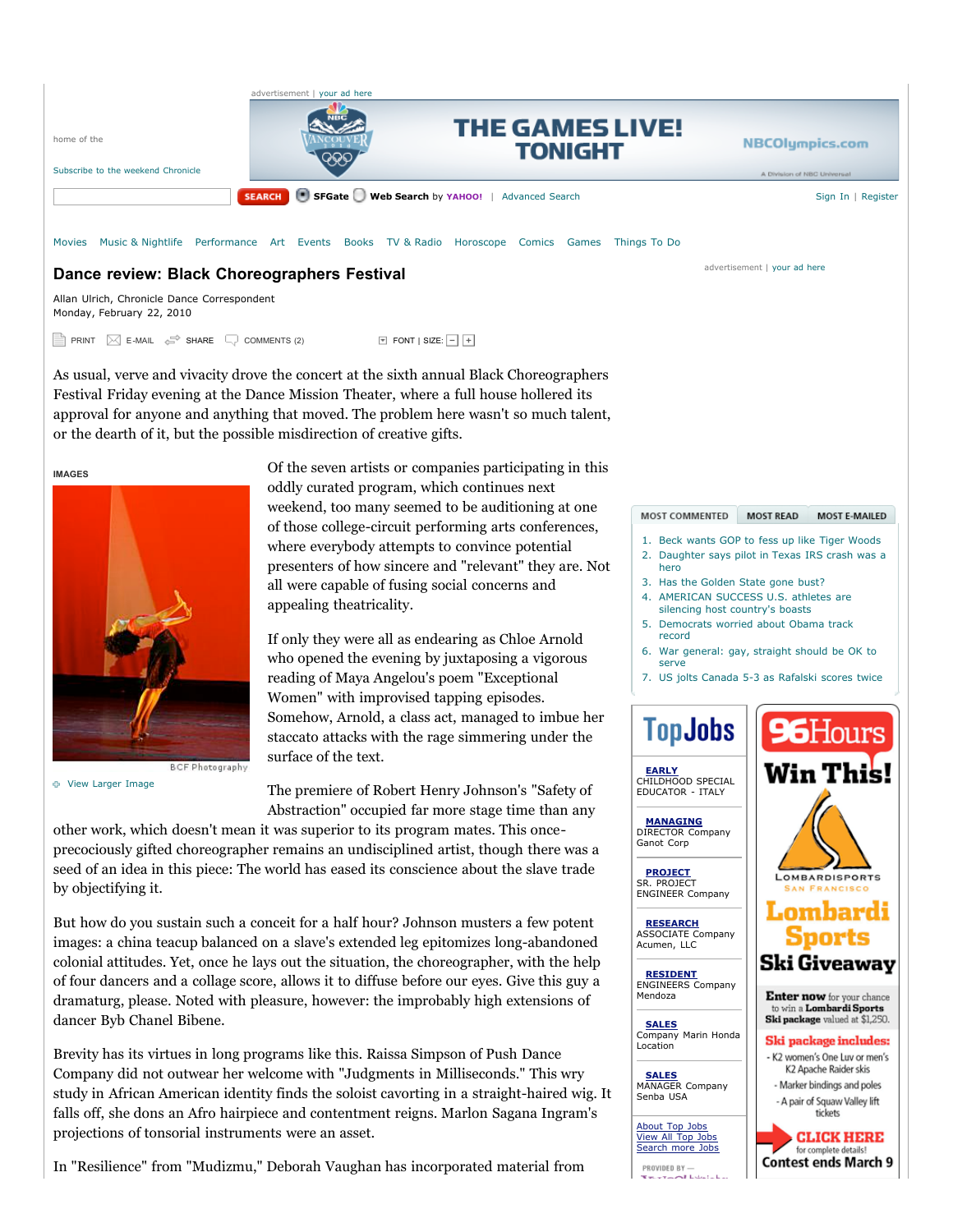

Allan Ulrich, Chronicle Dance Correspondent Monday, February 22, 2010

**PRINT**  $\boxtimes$  **E-MAIL**  $\iff$  **SHARE**  $\Box$  COMMENTS (2)  $\Box$  FONT | SIZE:  $\Box$  | +

As usual, verve and vivacity drove the concert at the sixth annual Black Choreographers Festival Friday evening at the Dance Mission Theater, where a full house hollered its approval for anyone and anything that moved. The problem here wasn't so much talent, or the dearth of it, but the possible misdirection of creative gifts.

**IMAGES**



**BCF Photography** 

View Larger Image

Of the seven artists or companies participating in this oddly curated program, which continues next weekend, too many seemed to be auditioning at one of those college-circuit performing arts conferences, where everybody attempts to convince potential presenters of how sincere and "relevant" they are. Not all were capable of fusing social concerns and appealing theatricality.

If only they were all as endearing as Chloe Arnold who opened the evening by juxtaposing a vigorous reading of Maya Angelou's poem "Exceptional Women" with improvised tapping episodes. Somehow, Arnold, a class act, managed to imbue her staccato attacks with the rage simmering under the surface of the text.

The premiere of Robert Henry Johnson's "Safety of Abstraction" occupied far more stage time than any

other work, which doesn't mean it was superior to its program mates. This onceprecociously gifted choreographer remains an undisciplined artist, though there was a seed of an idea in this piece: The world has eased its conscience about the slave trade by objectifying it.

But how do you sustain such a conceit for a half hour? Johnson musters a few potent images: a china teacup balanced on a slave's extended leg epitomizes long-abandoned colonial attitudes. Yet, once he lays out the situation, the choreographer, with the help of four dancers and a collage score, allows it to diffuse before our eyes. Give this guy a dramaturg, please. Noted with pleasure, however: the improbably high extensions of dancer Byb Chanel Bibene.

Brevity has its virtues in long programs like this. Raissa Simpson of Push Dance Company did not outwear her welcome with "Judgments in Milliseconds." This wry study in African American identity finds the soloist cavorting in a straight-haired wig. It falls off, she dons an Afro hairpiece and contentment reigns. Marlon Sagana Ingram's projections of tonsorial instruments were an asset.

In "Resilience" from "Mudizmu," Deborah Vaughan has incorporated material from

1. Beck wants GOP to fess up like Tiger Woods 2. Daughter says pilot in Texas IRS crash was a

MOST E-MAILED

96Hours

Win This!

**LOMBARDISPORTS** 

Lombardi Sports Ski Giveaway

Enter now for your chance to win a **Lombardi Sports** Ski package valued at \$1,250. Ski package includes: - K2 women's One Luv or men's K2 Apache Raider skis - Marker bindings and poles

- hero
- 3. Has the Golden State gone bust?

MOST COMMENTED MOST READ

- 4. AMERICAN SUCCESS U.S. athletes are silencing host country's boasts
- 5. Democrats worried about Obama track record
- 6. War general: gay, straight should be OK to serve
- 7. US jolts Canada 5-3 as Rafalski scores twice

# **TopJobs**

**EARLY** CHILDHOOD SPECIAL EDUCATOR - ITALY

**MANAGING** DIRECTOR Company **Ganot Corp** 

**PROJECT** SR. PROJECT ENGINEER Company

**RESEARCH** ASSOCIATE Company Acumen, LLC

**RESIDENT** ENGINEERS Company Mendoza

**SALES** Company Marin Honda Location

**SALES** MANAGER Company Senba USA

About Top Jobs View All Top Jobs Search more Jobs

PROVIDED BY- $\sim$   $\sim$   $\sim$ 

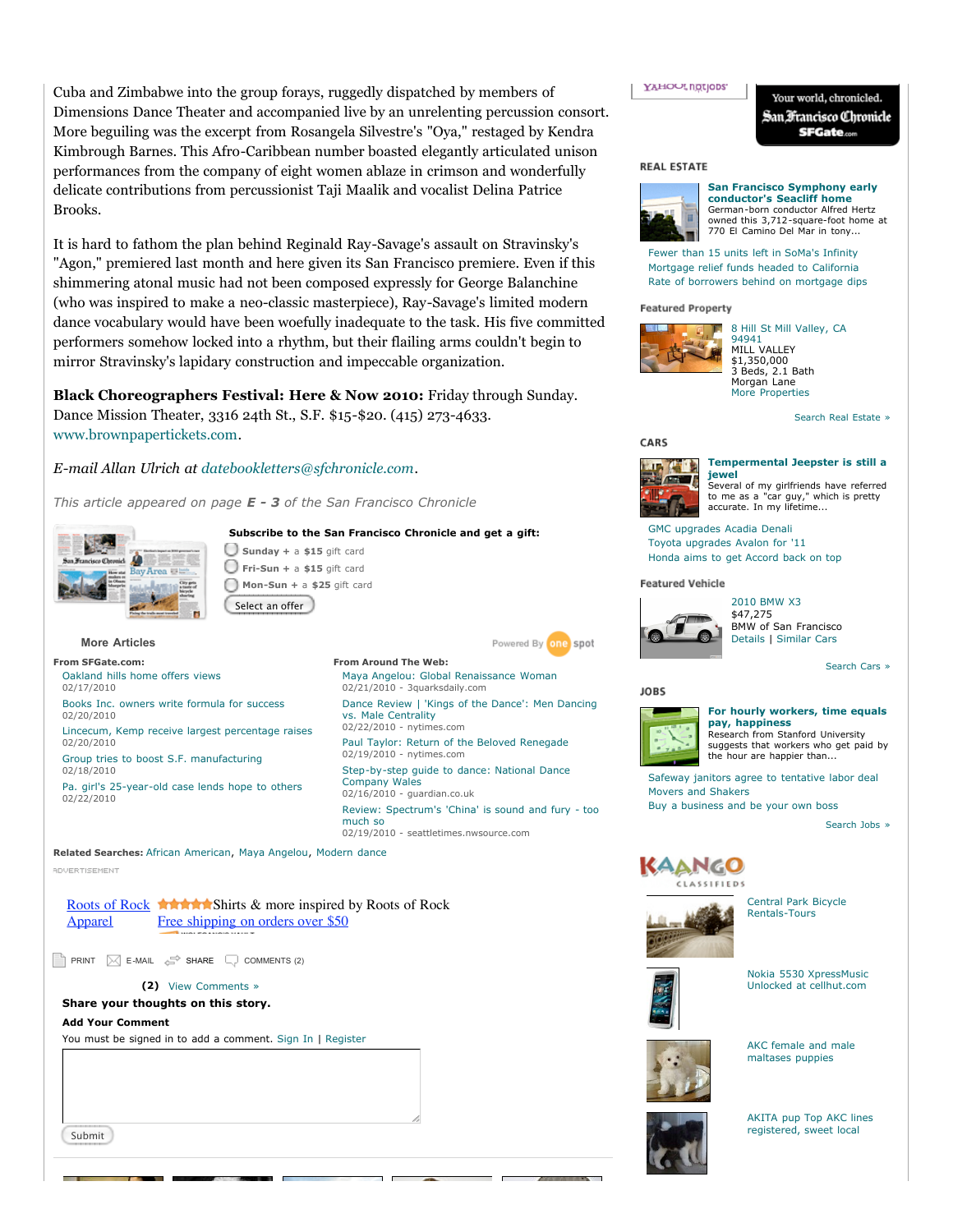Cuba and Zimbabwe into the group forays, ruggedly dispatched by members of Dimensions Dance Theater and accompanied live by an unrelenting percussion consort. More beguiling was the excerpt from Rosangela Silvestre's "Oya," restaged by Kendra Kimbrough Barnes. This Afro-Caribbean number boasted elegantly articulated unison performances from the company of eight women ablaze in crimson and wonderfully delicate contributions from percussionist Taji Maalik and vocalist Delina Patrice Brooks.

It is hard to fathom the plan behind Reginald Ray-Savage's assault on Stravinsky's "Agon," premiered last month and here given its San Francisco premiere. Even if this shimmering atonal music had not been composed expressly for George Balanchine (who was inspired to make a neo-classic masterpiece), Ray-Savage's limited modern dance vocabulary would have been woefully inadequate to the task. His five committed performers somehow locked into a rhythm, but their flailing arms couldn't begin to mirror Stravinsky's lapidary construction and impeccable organization.

**Black Choreographers Festival: Here & Now 2010:** Friday through Sunday. Dance Mission Theater, 3316 24th St., S.F. \$15-\$20. (415) 273-4633. www.brownpapertickets.com.

*E-mail Allan Ulrich at datebookletters@sfchronicle.com.*

*This article appeared on page E - 3 of the San Francisco Chronicle*

# **Subscribe to the San Francisco Chronicle and get a gift:**



**More Articles From SFGate.com:**

02/17/2010

02/20/2010

02/20/2010

02/18/2010

02/22/2010

Oakland hills home offers views

Books Inc. owners write formula for success

Group tries to boost S.F. manufacturing

Lincecum, Kemp receive largest percentage raises

Pa. girl's 25-year-old case lends hope to others

**Sunday +** a **\$15** gift card **Fri-Sun +** a **\$15** gift card **Mon-Sun +** a **\$25** gift card Select an offer



**From Around The Web:** Maya Angelou: Global Renaissance Woman 02/21/2010 - 3quarksdaily.com Dance Review | 'Kings of the Dance': Men Dancing vs. Male Centrality 02/22/2010 - nytimes.com Paul Taylor: Return of the Beloved Renegade 02/19/2010 - nytimes.com Step-by-step guide to dance: National Dance Company Wales 02/16/2010 - guardian.co.uk Review: Spectrum's 'China' is sound and fury - too much so 02/19/2010 - seattletimes.nwsource.com

**Related Searches:** African American, Maya Angelou, Modern dance **ADVERTISEMENT** 

Roots of Rock **AMANA** Shirts & more inspired by Roots of Rock Apparel Free shipping on orders over \$50

PRINT  $\boxtimes$  E-MAIL  $\iff$  SHARE  $\Box$  COMMENTS (2)

#### **(2)** View Comments »

# **Share your thoughts on this story.**

#### **Add Your Comment**

You must be signed in to add a comment. Sign In | Register

Submit

# **YAHOUL notions**

Your world, chronicled. San Francisco Chronicle **SFGate.com** 

### **REAL ESTATE**



**San Francisco Symphony early conductor's Seacliff home** German-born conductor Alfred Hertz owned this 3,712-square-foot home at 770 El Camino Del Mar in tony...

Fewer than 15 units left in SoMa's Infinity Mortgage relief funds headed to California Rate of borrowers behind on mortgage dips

**Featured Property** 



MILL VALLEY \$1,350,000 3 Beds, 2.1 Bath Morgan Lane More Properties

Search Real Estate »

# CARS



 $\sqrt{2\pi}$ 

i.

Several of my girlfriends have referred to me as a "car guy," which is pretty accurate. In my lifetime...

GMC upgrades Acadia Denali Toyota upgrades Avalon for '11 Honda aims to get Accord back on top

## **Featured Vehicle**



2010 BMW X3 \$47,275 BMW of San Francisco Details | Similar Cars

Search Cars »

# **JOBS**



### **For hourly workers, time equals pay, happiness**

Research from Stanford University suggests that workers who get paid by the hour are happier than...

Safeway janitors agree to tentative labor deal Movers and Shakers Buy a business and be your own boss

Search Jobs »



Central Park Bicycle



Rentals-Tours



Nokia 5530 XpressMusic Unlocked at cellhut.com



AKC female and male maltases puppies



AKITA pup Top AKC lines registered, sweet local